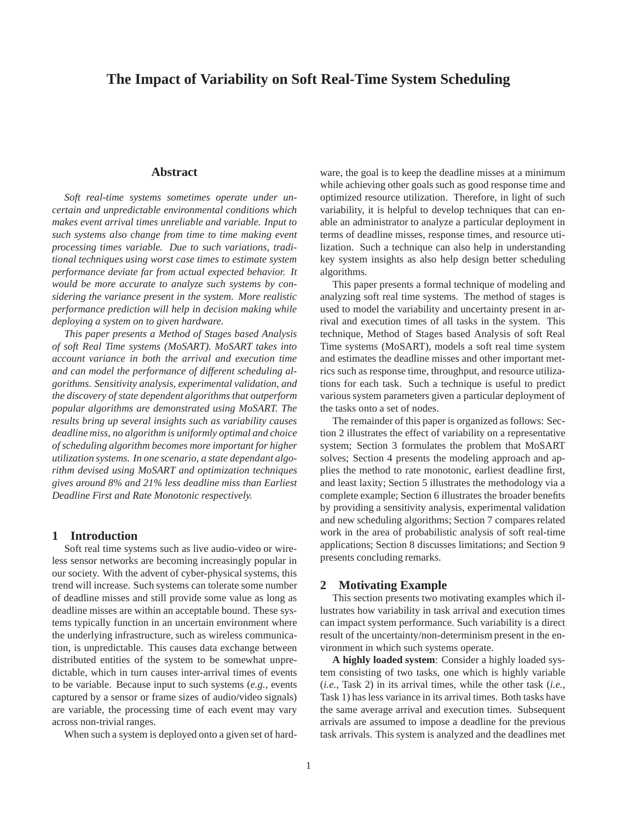# **The Impact of Variability on Soft Real-Time System Scheduling**

## **Abstract**

*Soft real-time systems sometimes operate under uncertain and unpredictable environmental conditions which makes event arrival times unreliable and variable. Input to such systems also change from time to time making event processing times variable. Due to such variations, traditional techniques using worst case times to estimate system performance deviate far from actual expected behavior. It would be more accurate to analyze such systems by considering the variance present in the system. More realistic performance prediction will help in decision making while deploying a system on to given hardware.*

*This paper presents a Method of Stages based Analysis of soft Real Time systems (MoSART). MoSART takes into account variance in both the arrival and execution time and can model the performance of different scheduling algorithms. Sensitivity analysis, experimental validation, and the discovery of state dependent algorithms that outperform popular algorithms are demonstrated using MoSART. The results bring up several insights such as variability causes deadline miss, no algorithm is uniformly optimal and choice of scheduling algorithm becomes more important for higher utilization systems. In one scenario, a state dependant algorithm devised using MoSART and optimization techniques gives around 8% and 21% less deadline miss than Earliest Deadline First and Rate Monotonic respectively.*

## **1 Introduction**

Soft real time systems such as live audio-video or wireless sensor networks are becoming increasingly popular in our society. With the advent of cyber-physical systems, this trend will increase. Such systems can tolerate some number of deadline misses and still provide some value as long as deadline misses are within an acceptable bound. These systems typically function in an uncertain environment where the underlying infrastructure, such as wireless communication, is unpredictable. This causes data exchange between distributed entities of the system to be somewhat unpredictable, which in turn causes inter-arrival times of events to be variable. Because input to such systems (*e.g.*, events captured by a sensor or frame sizes of audio/video signals) are variable, the processing time of each event may vary across non-trivial ranges.

When such a system is deployed onto a given set of hard-

ware, the goal is to keep the deadline misses at a minimum while achieving other goals such as good response time and optimized resource utilization. Therefore, in light of such variability, it is helpful to develop techniques that can enable an administrator to analyze a particular deployment in terms of deadline misses, response times, and resource utilization. Such a technique can also help in understanding key system insights as also help design better scheduling algorithms.

This paper presents a formal technique of modeling and analyzing soft real time systems. The method of stages is used to model the variability and uncertainty present in arrival and execution times of all tasks in the system. This technique, Method of Stages based Analysis of soft Real Time systems (MoSART), models a soft real time system and estimates the deadline misses and other important metrics such as response time, throughput, and resource utilizations for each task. Such a technique is useful to predict various system parameters given a particular deployment of the tasks onto a set of nodes.

The remainder of this paper is organized as follows: Section 2 illustrates the effect of variability on a representative system; Section 3 formulates the problem that MoSART solves; Section 4 presents the modeling approach and applies the method to rate monotonic, earliest deadline first, and least laxity; Section 5 illustrates the methodology via a complete example; Section 6 illustrates the broader benefits by providing a sensitivity analysis, experimental validation and new scheduling algorithms; Section 7 compares related work in the area of probabilistic analysis of soft real-time applications; Section 8 discusses limitations; and Section 9 presents concluding remarks.

## **2 Motivating Example**

This section presents two motivating examples which illustrates how variability in task arrival and execution times can impact system performance. Such variability is a direct result of the uncertainty/non-determinism present in the environment in which such systems operate.

**A highly loaded system**: Consider a highly loaded system consisting of two tasks, one which is highly variable (*i.e.*, Task 2) in its arrival times, while the other task (*i.e.*, Task 1) has less variance in its arrival times. Both tasks have the same average arrival and execution times. Subsequent arrivals are assumed to impose a deadline for the previous task arrivals. This system is analyzed and the deadlines met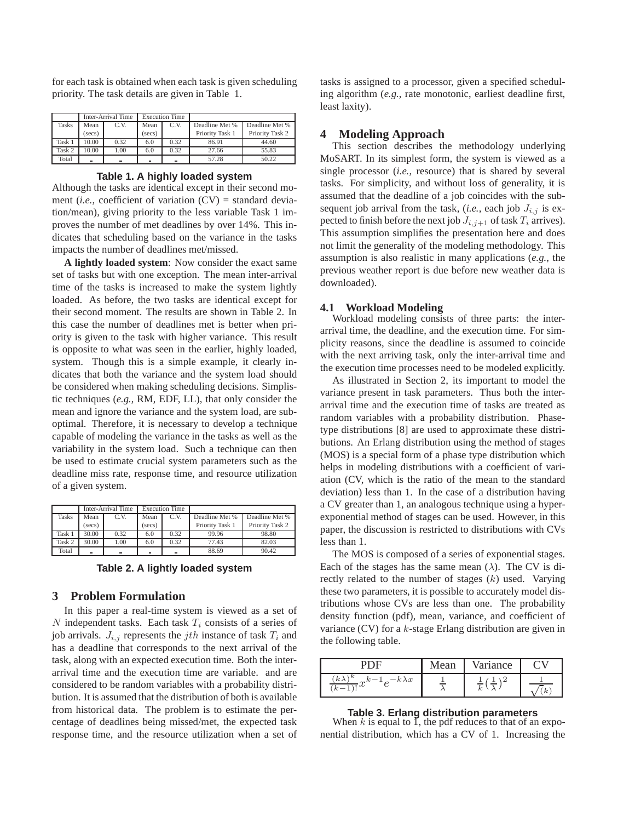for each task is obtained when each task is given scheduling priority. The task details are given in Table 1.

|              | Inter-Arrival Time |      | <b>Execution Time</b> |          |                 |                 |
|--------------|--------------------|------|-----------------------|----------|-----------------|-----------------|
| <b>Tasks</b> | Mean               | C.V. | Mean                  | C.V.     | Deadline Met %  | Deadline Met %  |
|              | (secs)             |      | (secs)                |          | Priority Task 1 | Priority Task 2 |
| Task 1       | 10.00              | 0.32 | 6.0                   | 0.32     | 86.91           | 44.60           |
| Task 2       | 10.00              | 1.00 | 6.0                   | 0.32     | 27.66           | 55.83           |
| Total        | ۳                  | -    | ۰                     | $\equiv$ | 57.28           | 50.22           |

### **Table 1. A highly loaded system**

Although the tasks are identical except in their second moment (*i.e.*, coefficient of variation  $(CV)$  = standard deviation/mean), giving priority to the less variable Task 1 improves the number of met deadlines by over 14%. This indicates that scheduling based on the variance in the tasks impacts the number of deadlines met/missed.

**A lightly loaded system**: Now consider the exact same set of tasks but with one exception. The mean inter-arrival time of the tasks is increased to make the system lightly loaded. As before, the two tasks are identical except for their second moment. The results are shown in Table 2. In this case the number of deadlines met is better when priority is given to the task with higher variance. This result is opposite to what was seen in the earlier, highly loaded, system. Though this is a simple example, it clearly indicates that both the variance and the system load should be considered when making scheduling decisions. Simplistic techniques (*e.g.*, RM, EDF, LL), that only consider the mean and ignore the variance and the system load, are suboptimal. Therefore, it is necessary to develop a technique capable of modeling the variance in the tasks as well as the variability in the system load. Such a technique can then be used to estimate crucial system parameters such as the deadline miss rate, response time, and resource utilization of a given system.

|              | Inter-Arrival Time |      | <b>Execution Time</b> |      |                 |                 |
|--------------|--------------------|------|-----------------------|------|-----------------|-----------------|
| <b>Tasks</b> | Mean               | C.V. | Mean                  | C.V. | Deadline Met %  | Deadline Met %  |
|              | (secs)             |      | (secs)                |      | Priority Task 1 | Priority Task 2 |
| Task 1       | 30.00              | 0.32 | 6.0                   | 0.32 | 99.96           | 98.80           |
| Task 2       | 30.00              | 1.00 | 6.0                   | 0.32 | 77.43           | 82.03           |
| Total        | ä,                 |      | $\blacksquare$        |      | 88.69           | 90.42           |

**Table 2. A lightly loaded system**

## **3 Problem Formulation**

In this paper a real-time system is viewed as a set of N independent tasks. Each task  $T_i$  consists of a series of job arrivals.  $J_{i,j}$  represents the jth instance of task  $T_i$  and has a deadline that corresponds to the next arrival of the task, along with an expected execution time. Both the interarrival time and the execution time are variable. and are considered to be random variables with a probability distribution. It is assumed that the distribution of both is available from historical data. The problem is to estimate the percentage of deadlines being missed/met, the expected task response time, and the resource utilization when a set of tasks is assigned to a processor, given a specified scheduling algorithm (*e.g.*, rate monotonic, earliest deadline first, least laxity).

### **4 Modeling Approach**

This section describes the methodology underlying MoSART. In its simplest form, the system is viewed as a single processor (*i.e.*, resource) that is shared by several tasks. For simplicity, and without loss of generality, it is assumed that the deadline of a job coincides with the subsequent job arrival from the task, (*i.e.*, each job  $J_{i,j}$  is expected to finish before the next job  $J_{i,j+1}$  of task  $T_i$  arrives). This assumption simplifies the presentation here and does not limit the generality of the modeling methodology. This assumption is also realistic in many applications (*e.g.*, the previous weather report is due before new weather data is downloaded).

### **4.1 Workload Modeling**

Workload modeling consists of three parts: the interarrival time, the deadline, and the execution time. For simplicity reasons, since the deadline is assumed to coincide with the next arriving task, only the inter-arrival time and the execution time processes need to be modeled explicitly.

As illustrated in Section 2, its important to model the variance present in task parameters. Thus both the interarrival time and the execution time of tasks are treated as random variables with a probability distribution. Phasetype distributions [8] are used to approximate these distributions. An Erlang distribution using the method of stages (MOS) is a special form of a phase type distribution which helps in modeling distributions with a coefficient of variation (CV, which is the ratio of the mean to the standard deviation) less than 1. In the case of a distribution having a CV greater than 1, an analogous technique using a hyperexponential method of stages can be used. However, in this paper, the discussion is restricted to distributions with CVs less than 1.

The MOS is composed of a series of exponential stages. Each of the stages has the same mean  $(\lambda)$ . The CV is directly related to the number of stages  $(k)$  used. Varying these two parameters, it is possible to accurately model distributions whose CVs are less than one. The probability density function (pdf), mean, variance, and coefficient of variance (CV) for a k-stage Erlang distribution are given in the following table.

|                                             | Mean                     | Variance         |          |
|---------------------------------------------|--------------------------|------------------|----------|
| $k\lambda$<br>$k\lambda x$<br>w<br>$\kappa$ | $\overline{\phantom{a}}$ | $\boldsymbol{k}$ | $\kappa$ |

## **Table 3. Erlang distribution parameters**

When  $k$  is equal to  $\overline{I}$ , the pdf reduces to that of an exponential distribution, which has a CV of 1. Increasing the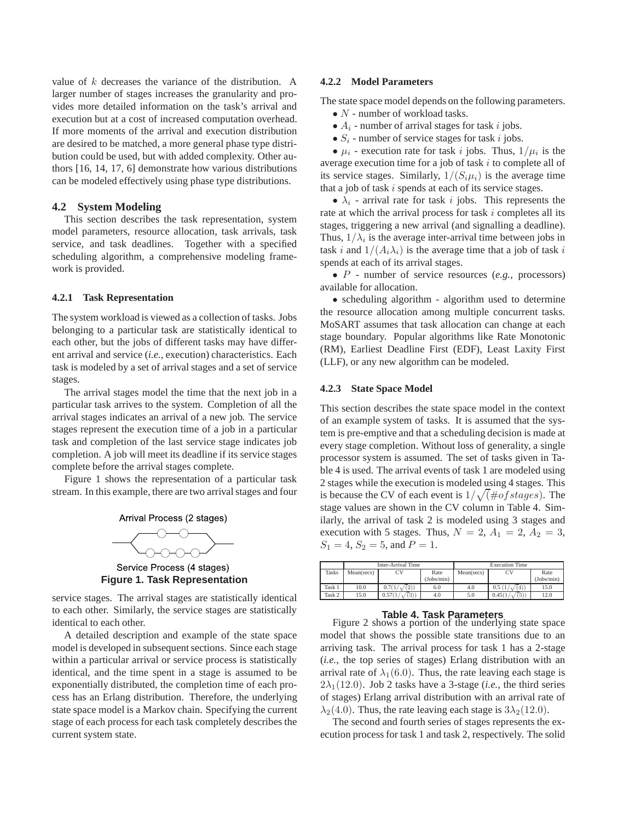value of k decreases the variance of the distribution. A larger number of stages increases the granularity and provides more detailed information on the task's arrival and execution but at a cost of increased computation overhead. If more moments of the arrival and execution distribution are desired to be matched, a more general phase type distribution could be used, but with added complexity. Other authors [16, 14, 17, 6] demonstrate how various distributions can be modeled effectively using phase type distributions.

### **4.2 System Modeling**

This section describes the task representation, system model parameters, resource allocation, task arrivals, task service, and task deadlines. Together with a specified scheduling algorithm, a comprehensive modeling framework is provided.

### **4.2.1 Task Representation**

The system workload is viewed as a collection of tasks. Jobs belonging to a particular task are statistically identical to each other, but the jobs of different tasks may have different arrival and service (*i.e.*, execution) characteristics. Each task is modeled by a set of arrival stages and a set of service stages.

The arrival stages model the time that the next job in a particular task arrives to the system. Completion of all the arrival stages indicates an arrival of a new job. The service stages represent the execution time of a job in a particular task and completion of the last service stage indicates job completion. A job will meet its deadline if its service stages complete before the arrival stages complete.

Figure 1 shows the representation of a particular task stream. In this example, there are two arrival stages and four





Service Process (4 stages) **Figure 1. Task Representation**

service stages. The arrival stages are statistically identical to each other. Similarly, the service stages are statistically identical to each other.

A detailed description and example of the state space model is developed in subsequent sections. Since each stage within a particular arrival or service process is statistically identical, and the time spent in a stage is assumed to be exponentially distributed, the completion time of each process has an Erlang distribution. Therefore, the underlying state space model is a Markov chain. Specifying the current stage of each process for each task completely describes the current system state.

### **4.2.2 Model Parameters**

The state space model depends on the following parameters.  $\bullet$   $N$  - number of workload tasks.

- $A_i$  number of arrival stages for task i jobs.
- $S_i$  number of service stages for task i jobs.

•  $\mu_i$  - execution rate for task *i* jobs. Thus,  $1/\mu_i$  is the average execution time for a job of task  $i$  to complete all of its service stages. Similarly,  $1/(S_i\mu_i)$  is the average time that a job of task  $i$  spends at each of its service stages.

•  $\lambda_i$  - arrival rate for task i jobs. This represents the rate at which the arrival process for task  $i$  completes all its stages, triggering a new arrival (and signalling a deadline). Thus,  $1/\lambda_i$  is the average inter-arrival time between jobs in task i and  $1/(A_i \lambda_i)$  is the average time that a job of task i spends at each of its arrival stages.

• P - number of service resources (*e.g.*, processors) available for allocation.

• scheduling algorithm - algorithm used to determine the resource allocation among multiple concurrent tasks. MoSART assumes that task allocation can change at each stage boundary. Popular algorithms like Rate Monotonic (RM), Earliest Deadline First (EDF), Least Laxity First (LLF), or any new algorithm can be modeled.

### **4.2.3 State Space Model**

This section describes the state space model in the context of an example system of tasks. It is assumed that the system is pre-emptive and that a scheduling decision is made at every stage completion. Without loss of generality, a single processor system is assumed. The set of tasks given in Table 4 is used. The arrival events of task 1 are modeled using 2 stages while the execution is modeled using 4 stages. This is because the CV of each event is  $1/\sqrt{(+ \text{of stages})}$ . The stage values are shown in the CV column in Table 4. Similarly, the arrival of task 2 is modeled using 3 stages and execution with 5 stages. Thus,  $N = 2$ ,  $A_1 = 2$ ,  $A_2 = 3$ ,  $S_1 = 4$ ,  $S_2 = 5$ , and  $P = 1$ .

|        |            | Inter-Arrival Time |            | <b>Execution Time</b> |                |            |  |
|--------|------------|--------------------|------------|-----------------------|----------------|------------|--|
| Tasks  | Mean(secs) | CV                 | Rate       | Mean(secs)            | CV             | Rate       |  |
|        |            |                    | (Jobs/min) |                       |                | (Jobs/min) |  |
| Task 1 | 10.0       | 0.7(1/<br>(2)      | 6.0        | 4.0                   | 0.5(1)<br>4)   | 15.0       |  |
| Task 2 | 15.0       | (3)<br>0.57(1)     | 4.0        | 5.0                   | (5)<br>0.45(1) | 12.0       |  |

**Table 4. Task Parameters**<br>Figure 2 shows a portion of the underlying state space model that shows the possible state transitions due to an arriving task. The arrival process for task 1 has a 2-stage (*i.e.*, the top series of stages) Erlang distribution with an arrival rate of  $\lambda_1(6.0)$ . Thus, the rate leaving each stage is  $2\lambda_1(12.0)$ . Job 2 tasks have a 3-stage (*i.e.*, the third series of stages) Erlang arrival distribution with an arrival rate of  $\lambda_2(4.0)$ . Thus, the rate leaving each stage is  $3\lambda_2(12.0)$ .

The second and fourth series of stages represents the execution process for task 1 and task 2, respectively. The solid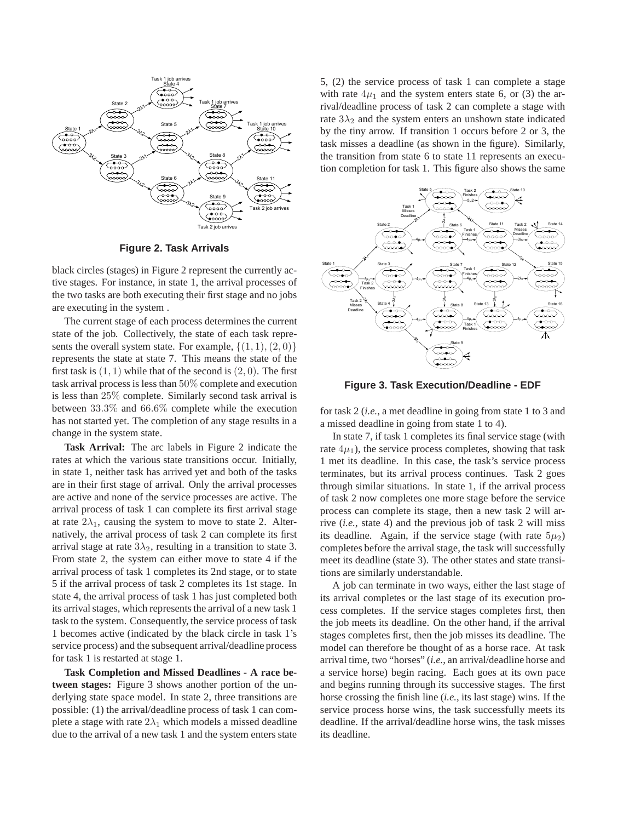

**Figure 2. Task Arrivals**

black circles (stages) in Figure 2 represent the currently active stages. For instance, in state 1, the arrival processes of the two tasks are both executing their first stage and no jobs are executing in the system .

The current stage of each process determines the current state of the job. Collectively, the state of each task represents the overall system state. For example,  $\{(1, 1), (2, 0)\}\$ represents the state at state 7. This means the state of the first task is  $(1, 1)$  while that of the second is  $(2, 0)$ . The first task arrival process is less than 50% complete and execution is less than 25% complete. Similarly second task arrival is between 33.3% and 66.6% complete while the execution has not started yet. The completion of any stage results in a change in the system state.

**Task Arrival:** The arc labels in Figure 2 indicate the rates at which the various state transitions occur. Initially, in state 1, neither task has arrived yet and both of the tasks are in their first stage of arrival. Only the arrival processes are active and none of the service processes are active. The arrival process of task 1 can complete its first arrival stage at rate  $2\lambda_1$ , causing the system to move to state 2. Alternatively, the arrival process of task 2 can complete its first arrival stage at rate  $3\lambda_2$ , resulting in a transition to state 3. From state 2, the system can either move to state 4 if the arrival process of task 1 completes its 2nd stage, or to state 5 if the arrival process of task 2 completes its 1st stage. In state 4, the arrival process of task 1 has just completed both its arrival stages, which represents the arrival of a new task 1 task to the system. Consequently, the service process of task 1 becomes active (indicated by the black circle in task 1's service process) and the subsequent arrival/deadline process for task 1 is restarted at stage 1.

**Task Completion and Missed Deadlines - A race between stages:** Figure 3 shows another portion of the underlying state space model. In state 2, three transitions are possible: (1) the arrival/deadline process of task 1 can complete a stage with rate  $2\lambda_1$  which models a missed deadline due to the arrival of a new task 1 and the system enters state 5, (2) the service process of task 1 can complete a stage with rate  $4\mu_1$  and the system enters state 6, or (3) the arrival/deadline process of task 2 can complete a stage with rate  $3\lambda_2$  and the system enters an unshown state indicated by the tiny arrow. If transition 1 occurs before 2 or 3, the task misses a deadline (as shown in the figure). Similarly, the transition from state 6 to state 11 represents an execution completion for task 1. This figure also shows the same



**Figure 3. Task Execution/Deadline - EDF**

for task 2 (*i.e.*, a met deadline in going from state 1 to 3 and a missed deadline in going from state 1 to 4).

In state 7, if task 1 completes its final service stage (with rate  $4\mu_1$ ), the service process completes, showing that task 1 met its deadline. In this case, the task's service process terminates, but its arrival process continues. Task 2 goes through similar situations. In state 1, if the arrival process of task 2 now completes one more stage before the service process can complete its stage, then a new task 2 will arrive (*i.e.*, state 4) and the previous job of task 2 will miss its deadline. Again, if the service stage (with rate  $5\mu_2$ ) completes before the arrival stage, the task will successfully meet its deadline (state 3). The other states and state transitions are similarly understandable.

A job can terminate in two ways, either the last stage of its arrival completes or the last stage of its execution process completes. If the service stages completes first, then the job meets its deadline. On the other hand, if the arrival stages completes first, then the job misses its deadline. The model can therefore be thought of as a horse race. At task arrival time, two "horses" (*i.e.*, an arrival/deadline horse and a service horse) begin racing. Each goes at its own pace and begins running through its successive stages. The first horse crossing the finish line (*i.e.*, its last stage) wins. If the service process horse wins, the task successfully meets its deadline. If the arrival/deadline horse wins, the task misses its deadline.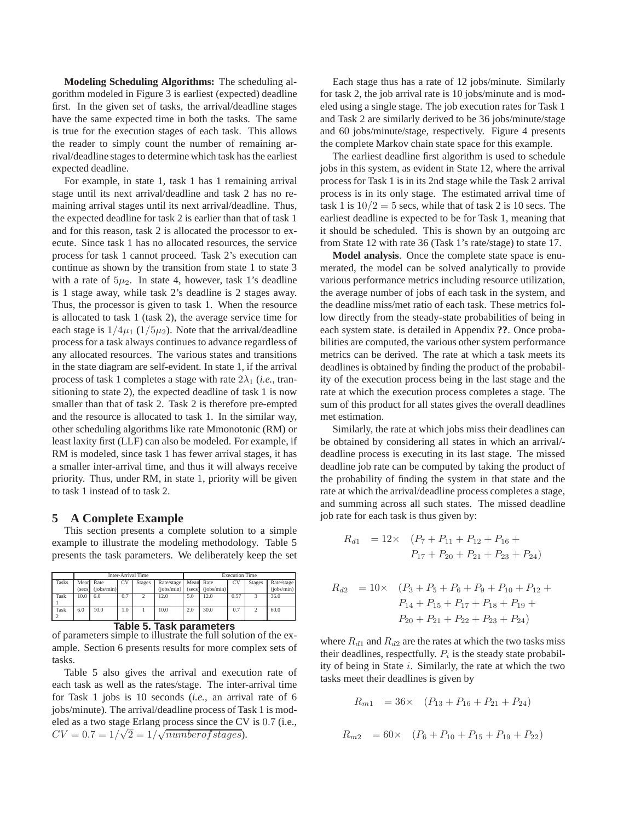**Modeling Scheduling Algorithms:** The scheduling algorithm modeled in Figure 3 is earliest (expected) deadline first. In the given set of tasks, the arrival/deadline stages have the same expected time in both the tasks. The same is true for the execution stages of each task. This allows the reader to simply count the number of remaining arrival/deadline stages to determine which task has the earliest expected deadline.

For example, in state 1, task 1 has 1 remaining arrival stage until its next arrival/deadline and task 2 has no remaining arrival stages until its next arrival/deadline. Thus, the expected deadline for task 2 is earlier than that of task 1 and for this reason, task 2 is allocated the processor to execute. Since task 1 has no allocated resources, the service process for task 1 cannot proceed. Task 2's execution can continue as shown by the transition from state 1 to state 3 with a rate of  $5\mu_2$ . In state 4, however, task 1's deadline is 1 stage away, while task 2's deadline is 2 stages away. Thus, the processor is given to task 1. When the resource is allocated to task 1 (task 2), the average service time for each stage is  $1/4\mu_1$  (1/5 $\mu_2$ ). Note that the arrival/deadline process for a task always continues to advance regardless of any allocated resources. The various states and transitions in the state diagram are self-evident. In state 1, if the arrival process of task 1 completes a stage with rate  $2\lambda_1$  (*i.e.*, transitioning to state 2), the expected deadline of task 1 is now smaller than that of task 2. Task 2 is therefore pre-empted and the resource is allocated to task 1. In the similar way, other scheduling algorithms like rate Mmonotonic (RM) or least laxity first (LLF) can also be modeled. For example, if RM is modeled, since task 1 has fewer arrival stages, it has a smaller inter-arrival time, and thus it will always receive priority. Thus, under RM, in state 1, priority will be given to task 1 instead of to task 2.

## **5 A Complete Example**

This section presents a complete solution to a simple example to illustrate the modeling methodology. Table 5 presents the task parameters. We deliberately keep the set

|                                 | Inter-Arrival Time |            |           |               | <b>Execution Time</b> |        |            |      |               |            |
|---------------------------------|--------------------|------------|-----------|---------------|-----------------------|--------|------------|------|---------------|------------|
| <b>Tasks</b>                    | Mean               | Rate       | <b>CV</b> | <b>Stages</b> | Rate/stage            |        | Mean Rate  | CV   | <b>Stages</b> | Rate/stage |
|                                 | (secs)             | (iobs/min) |           |               | (iobs/min)            | (secs) | (iobs/min) |      |               | (iobs/min) |
| Task                            | 10.0               | 6.0        | 0.7       |               | 12.0                  | 5.0    | 12.0       | 0.57 |               | 36.0       |
|                                 |                    |            |           |               |                       |        |            |      |               |            |
| Task                            | 6.0                | 10.0       | 1.0       |               | 10.0                  | 2.0    | 30.0       | 0.7  | $\mathcal{D}$ | 60.0       |
|                                 |                    |            |           |               |                       |        |            |      |               |            |
| <b>Table 5. Task parameters</b> |                    |            |           |               |                       |        |            |      |               |            |

| of parameters simple to illustrate the full solution of the ex- |
|-----------------------------------------------------------------|
| ample. Section 6 presents results for more complex sets of      |
| tasks.                                                          |

Table 5 also gives the arrival and execution rate of each task as well as the rates/stage. The inter-arrival time for Task 1 jobs is 10 seconds (*i.e.*, an arrival rate of 6 jobs/minute). The arrival/deadline process of Task 1 is modeled as a two stage Erlang process since the CV is 0.7 (i.e.,  $CV = 0.7 = 1/\sqrt{2} = 1/\sqrt{numberof stages}$ .

Each stage thus has a rate of 12 jobs/minute. Similarly for task 2, the job arrival rate is 10 jobs/minute and is modeled using a single stage. The job execution rates for Task 1 and Task 2 are similarly derived to be 36 jobs/minute/stage and 60 jobs/minute/stage, respectively. Figure 4 presents the complete Markov chain state space for this example.

The earliest deadline first algorithm is used to schedule jobs in this system, as evident in State 12, where the arrival process for Task 1 is in its 2nd stage while the Task 2 arrival process is in its only stage. The estimated arrival time of task 1 is  $10/2 = 5$  secs, while that of task 2 is 10 secs. The earliest deadline is expected to be for Task 1, meaning that it should be scheduled. This is shown by an outgoing arc from State 12 with rate 36 (Task 1's rate/stage) to state 17.

**Model analysis**. Once the complete state space is enumerated, the model can be solved analytically to provide various performance metrics including resource utilization, the average number of jobs of each task in the system, and the deadline miss/met ratio of each task. These metrics follow directly from the steady-state probabilities of being in each system state. is detailed in Appendix **??**. Once probabilities are computed, the various other system performance metrics can be derived. The rate at which a task meets its deadlines is obtained by finding the product of the probability of the execution process being in the last stage and the rate at which the execution process completes a stage. The sum of this product for all states gives the overall deadlines met estimation.

Similarly, the rate at which jobs miss their deadlines can be obtained by considering all states in which an arrival/ deadline process is executing in its last stage. The missed deadline job rate can be computed by taking the product of the probability of finding the system in that state and the rate at which the arrival/deadline process completes a stage, and summing across all such states. The missed deadline job rate for each task is thus given by:

$$
R_{d1} = 12 \times (P_7 + P_{11} + P_{12} + P_{16} + P_{17} + P_{20} + P_{21} + P_{23} + P_{24})
$$

$$
R_{d2} = 10 \times \left( P_3 + P_5 + P_6 + P_9 + P_{10} + P_{12} + P_{14} + P_{15} + P_{17} + P_{18} + P_{19} + P_{20} + P_{21} + P_{22} + P_{23} + P_{24} \right)
$$

where  $R_{d1}$  and  $R_{d2}$  are the rates at which the two tasks miss their deadlines, respectfully.  $P_i$  is the steady state probability of being in State  $i$ . Similarly, the rate at which the two tasks meet their deadlines is given by

$$
R_{m1} = 36 \times (P_{13} + P_{16} + P_{21} + P_{24})
$$
  

$$
R_{m2} = 60 \times (P_6 + P_{10} + P_{15} + P_{19} + P_{22})
$$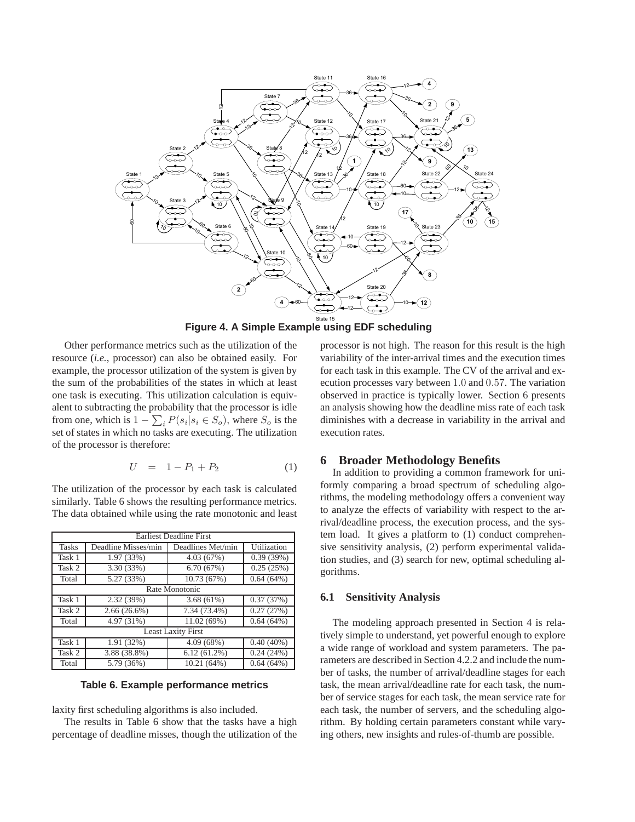

**Figure 4. A Simple Example using EDF scheduling**

Other performance metrics such as the utilization of the resource (*i.e.*, processor) can also be obtained easily. For example, the processor utilization of the system is given by the sum of the probabilities of the states in which at least one task is executing. This utilization calculation is equivalent to subtracting the probability that the processor is idle from one, which is  $1 - \sum_i P(s_i | s_i \in S_o)$ , where  $S_o$  is the set of states in which no tasks are executing. The utilization of the processor is therefore:

$$
U = 1 - P_1 + P_2 \tag{1}
$$

The utilization of the processor by each task is calculated similarly. Table 6 shows the resulting performance metrics. The data obtained while using the rate monotonic and least

| <b>Earliest Deadline First</b> |                           |                   |              |  |  |  |  |
|--------------------------------|---------------------------|-------------------|--------------|--|--|--|--|
| <b>Tasks</b>                   | Deadline Misses/min       | Deadlines Met/min | Utilization  |  |  |  |  |
| Task 1                         | 1.97 (33%)                | 4.03(67%)         | 0.39(39%)    |  |  |  |  |
| Task 2                         | 3.30 (33%)                | 6.70(67%)         | 0.25(25%)    |  |  |  |  |
| Total                          | 5.27 (33%)                | 10.73 (67%)       | 0.64(64%)    |  |  |  |  |
| Rate Monotonic                 |                           |                   |              |  |  |  |  |
| Task 1                         | 2.32 (39%)                | 3.68(61%)         | 0.37(37%)    |  |  |  |  |
| Task 2                         | $2.66(26.6\%)$            | 7.34 (73.4%)      | 0.27(27%)    |  |  |  |  |
| Total                          | 4.97 (31%)                | 11.02 (69%)       | 0.64(64%)    |  |  |  |  |
|                                | <b>Least Laxity First</b> |                   |              |  |  |  |  |
| Task 1                         | 1.91(32%)                 | 4.09(68%)         | $0.40(40\%)$ |  |  |  |  |
| Task 2                         | 3.88 (38.8%)              | $6.12(61.2\%)$    | 0.24(24%)    |  |  |  |  |
| Total                          | 5.79 (36%)                | 10.21(64%)        | $0.64(64\%)$ |  |  |  |  |

## **Table 6. Example performance metrics**

laxity first scheduling algorithms is also included.

The results in Table 6 show that the tasks have a high percentage of deadline misses, though the utilization of the

processor is not high. The reason for this result is the high variability of the inter-arrival times and the execution times for each task in this example. The CV of the arrival and execution processes vary between 1.0 and 0.57. The variation observed in practice is typically lower. Section 6 presents an analysis showing how the deadline miss rate of each task diminishes with a decrease in variability in the arrival and execution rates.

### **6 Broader Methodology Benefits**

In addition to providing a common framework for uniformly comparing a broad spectrum of scheduling algorithms, the modeling methodology offers a convenient way to analyze the effects of variability with respect to the arrival/deadline process, the execution process, and the system load. It gives a platform to (1) conduct comprehensive sensitivity analysis, (2) perform experimental validation studies, and (3) search for new, optimal scheduling algorithms.

### **6.1 Sensitivity Analysis**

The modeling approach presented in Section 4 is relatively simple to understand, yet powerful enough to explore a wide range of workload and system parameters. The parameters are described in Section 4.2.2 and include the number of tasks, the number of arrival/deadline stages for each task, the mean arrival/deadline rate for each task, the number of service stages for each task, the mean service rate for each task, the number of servers, and the scheduling algorithm. By holding certain parameters constant while varying others, new insights and rules-of-thumb are possible.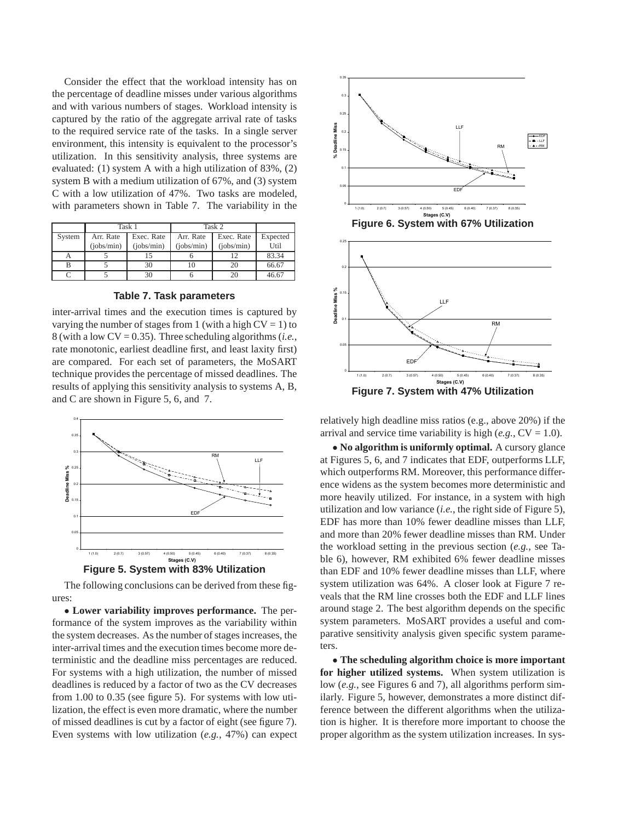Consider the effect that the workload intensity has on the percentage of deadline misses under various algorithms and with various numbers of stages. Workload intensity is captured by the ratio of the aggregate arrival rate of tasks to the required service rate of the tasks. In a single server environment, this intensity is equivalent to the processor's utilization. In this sensitivity analysis, three systems are evaluated: (1) system A with a high utilization of 83%, (2) system B with a medium utilization of 67%, and (3) system C with a low utilization of 47%. Two tasks are modeled, with parameters shown in Table 7. The variability in the

|        |            | Task 1     | Task 2     |            |          |
|--------|------------|------------|------------|------------|----------|
| System | Arr. Rate  | Exec. Rate | Arr. Rate  | Exec. Rate | Expected |
|        | (iobs/min) | (iobs/min) | (iobs/min) | (iobs/min) | Util     |
|        |            |            |            | 10         | 83.34    |
|        |            | 30         |            | 20         | 66.67    |
|        |            | 30         |            | 20         | 46.67    |

### **Table 7. Task parameters**

inter-arrival times and the execution times is captured by varying the number of stages from 1 (with a high  $CV = 1$ ) to 8 (with a low CV = 0.35). Three scheduling algorithms (*i.e.*, rate monotonic, earliest deadline first, and least laxity first) are compared. For each set of parameters, the MoSART technique provides the percentage of missed deadlines. The results of applying this sensitivity analysis to systems A, B, and C are shown in Figure 5, 6, and 7.





The following conclusions can be derived from these figures:

• **Lower variability improves performance.** The performance of the system improves as the variability within the system decreases. As the number of stages increases, the inter-arrival times and the execution times become more deterministic and the deadline miss percentages are reduced. For systems with a high utilization, the number of missed deadlines is reduced by a factor of two as the CV decreases from 1.00 to 0.35 (see figure 5). For systems with low utilization, the effect is even more dramatic, where the number of missed deadlines is cut by a factor of eight (see figure 7). Even systems with low utilization (*e.g.*, 47%) can expect







relatively high deadline miss ratios (e.g., above 20%) if the arrival and service time variability is high  $(e.g., CV = 1.0)$ .

• **No algorithm is uniformly optimal.** A cursory glance at Figures 5, 6, and 7 indicates that EDF, outperforms LLF, which outperforms RM. Moreover, this performance difference widens as the system becomes more deterministic and more heavily utilized. For instance, in a system with high utilization and low variance (*i.e.*, the right side of Figure 5), EDF has more than 10% fewer deadline misses than LLF, and more than 20% fewer deadline misses than RM. Under the workload setting in the previous section (*e.g.*, see Table 6), however, RM exhibited 6% fewer deadline misses than EDF and 10% fewer deadline misses than LLF, where system utilization was 64%. A closer look at Figure 7 reveals that the RM line crosses both the EDF and LLF lines around stage 2. The best algorithm depends on the specific system parameters. MoSART provides a useful and comparative sensitivity analysis given specific system parameters.

• **The scheduling algorithm choice is more important for higher utilized systems.** When system utilization is low (*e.g.*, see Figures 6 and 7), all algorithms perform similarly. Figure 5, however, demonstrates a more distinct difference between the different algorithms when the utilization is higher. It is therefore more important to choose the proper algorithm as the system utilization increases. In sys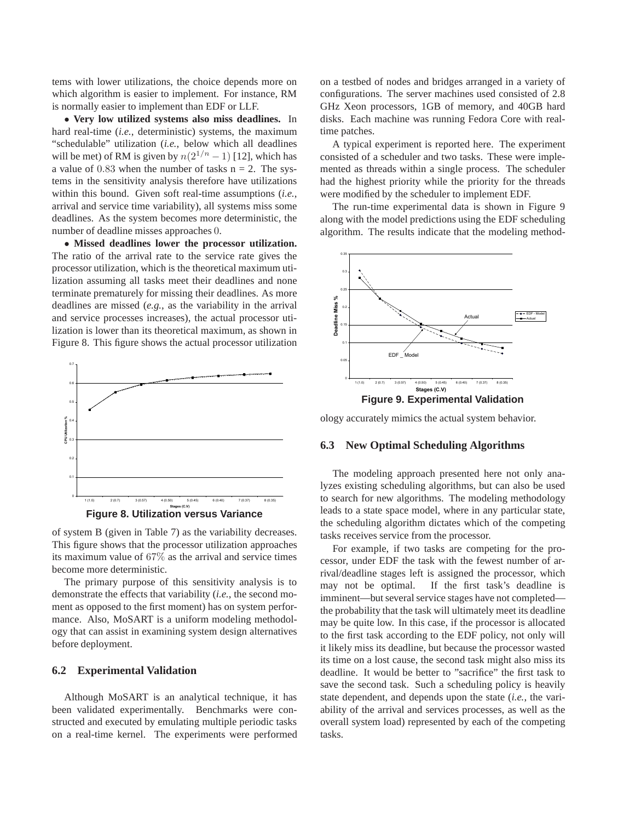tems with lower utilizations, the choice depends more on which algorithm is easier to implement. For instance, RM is normally easier to implement than EDF or LLF.

• **Very low utilized systems also miss deadlines.** In hard real-time (*i.e.*, deterministic) systems, the maximum "schedulable" utilization (*i.e.*, below which all deadlines will be met) of RM is given by  $n(2^{1/n} - 1)$  [12], which has a value of  $0.83$  when the number of tasks  $n = 2$ . The systems in the sensitivity analysis therefore have utilizations within this bound. Given soft real-time assumptions (*i.e.*, arrival and service time variability), all systems miss some deadlines. As the system becomes more deterministic, the number of deadline misses approaches 0.

• **Missed deadlines lower the processor utilization.** The ratio of the arrival rate to the service rate gives the processor utilization, which is the theoretical maximum utilization assuming all tasks meet their deadlines and none terminate prematurely for missing their deadlines. As more deadlines are missed (*e.g.*, as the variability in the arrival and service processes increases), the actual processor utilization is lower than its theoretical maximum, as shown in Figure 8. This figure shows the actual processor utilization



of system B (given in Table 7) as the variability decreases. This figure shows that the processor utilization approaches its maximum value of 67% as the arrival and service times become more deterministic.

The primary purpose of this sensitivity analysis is to demonstrate the effects that variability (*i.e.*, the second moment as opposed to the first moment) has on system performance. Also, MoSART is a uniform modeling methodology that can assist in examining system design alternatives before deployment.

## **6.2 Experimental Validation**

Although MoSART is an analytical technique, it has been validated experimentally. Benchmarks were constructed and executed by emulating multiple periodic tasks on a real-time kernel. The experiments were performed on a testbed of nodes and bridges arranged in a variety of configurations. The server machines used consisted of 2.8 GHz Xeon processors, 1GB of memory, and 40GB hard disks. Each machine was running Fedora Core with realtime patches.

A typical experiment is reported here. The experiment consisted of a scheduler and two tasks. These were implemented as threads within a single process. The scheduler had the highest priority while the priority for the threads were modified by the scheduler to implement EDF.

The run-time experimental data is shown in Figure 9 along with the model predictions using the EDF scheduling algorithm. The results indicate that the modeling method-



ology accurately mimics the actual system behavior.

## **6.3 New Optimal Scheduling Algorithms**

The modeling approach presented here not only analyzes existing scheduling algorithms, but can also be used to search for new algorithms. The modeling methodology leads to a state space model, where in any particular state, the scheduling algorithm dictates which of the competing tasks receives service from the processor.

For example, if two tasks are competing for the processor, under EDF the task with the fewest number of arrival/deadline stages left is assigned the processor, which may not be optimal. If the first task's deadline is imminent—but several service stages have not completed the probability that the task will ultimately meet its deadline may be quite low. In this case, if the processor is allocated to the first task according to the EDF policy, not only will it likely miss its deadline, but because the processor wasted its time on a lost cause, the second task might also miss its deadline. It would be better to "sacrifice" the first task to save the second task. Such a scheduling policy is heavily state dependent, and depends upon the state (*i.e.*, the variability of the arrival and services processes, as well as the overall system load) represented by each of the competing tasks.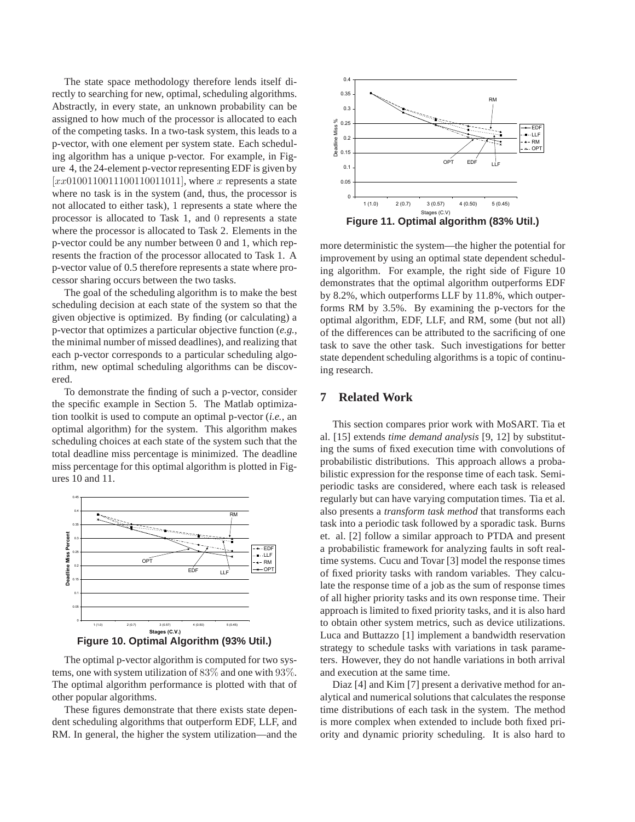The state space methodology therefore lends itself directly to searching for new, optimal, scheduling algorithms. Abstractly, in every state, an unknown probability can be assigned to how much of the processor is allocated to each of the competing tasks. In a two-task system, this leads to a p-vector, with one element per system state. Each scheduling algorithm has a unique p-vector. For example, in Figure 4, the 24-element p-vector representing EDF is given by  $[xx0100110011100110011011]$ , where x represents a state where no task is in the system (and, thus, the processor is not allocated to either task), 1 represents a state where the processor is allocated to Task 1, and 0 represents a state where the processor is allocated to Task 2. Elements in the p-vector could be any number between 0 and 1, which represents the fraction of the processor allocated to Task 1. A p-vector value of 0.5 therefore represents a state where processor sharing occurs between the two tasks.

The goal of the scheduling algorithm is to make the best scheduling decision at each state of the system so that the given objective is optimized. By finding (or calculating) a p-vector that optimizes a particular objective function (*e.g.*, the minimal number of missed deadlines), and realizing that each p-vector corresponds to a particular scheduling algorithm, new optimal scheduling algorithms can be discovered.

To demonstrate the finding of such a p-vector, consider the specific example in Section 5. The Matlab optimization toolkit is used to compute an optimal p-vector (*i.e.*, an optimal algorithm) for the system. This algorithm makes scheduling choices at each state of the system such that the total deadline miss percentage is minimized. The deadline miss percentage for this optimal algorithm is plotted in Figures 10 and 11.





These figures demonstrate that there exists state dependent scheduling algorithms that outperform EDF, LLF, and RM. In general, the higher the system utilization—and the



more deterministic the system—the higher the potential for improvement by using an optimal state dependent scheduling algorithm. For example, the right side of Figure 10 demonstrates that the optimal algorithm outperforms EDF by 8.2%, which outperforms LLF by 11.8%, which outperforms RM by 3.5%. By examining the p-vectors for the optimal algorithm, EDF, LLF, and RM, some (but not all) of the differences can be attributed to the sacrificing of one task to save the other task. Such investigations for better state dependent scheduling algorithms is a topic of continuing research.

## **7 Related Work**

This section compares prior work with MoSART. Tia et al. [15] extends *time demand analysis* [9, 12] by substituting the sums of fixed execution time with convolutions of probabilistic distributions. This approach allows a probabilistic expression for the response time of each task. Semiperiodic tasks are considered, where each task is released regularly but can have varying computation times. Tia et al. also presents a *transform task method* that transforms each task into a periodic task followed by a sporadic task. Burns et. al. [2] follow a similar approach to PTDA and present a probabilistic framework for analyzing faults in soft realtime systems. Cucu and Tovar [3] model the response times of fixed priority tasks with random variables. They calculate the response time of a job as the sum of response times of all higher priority tasks and its own response time. Their approach is limited to fixed priority tasks, and it is also hard to obtain other system metrics, such as device utilizations. Luca and Buttazzo [1] implement a bandwidth reservation strategy to schedule tasks with variations in task parameters. However, they do not handle variations in both arrival and execution at the same time.

Diaz [4] and Kim [7] present a derivative method for analytical and numerical solutions that calculates the response time distributions of each task in the system. The method is more complex when extended to include both fixed priority and dynamic priority scheduling. It is also hard to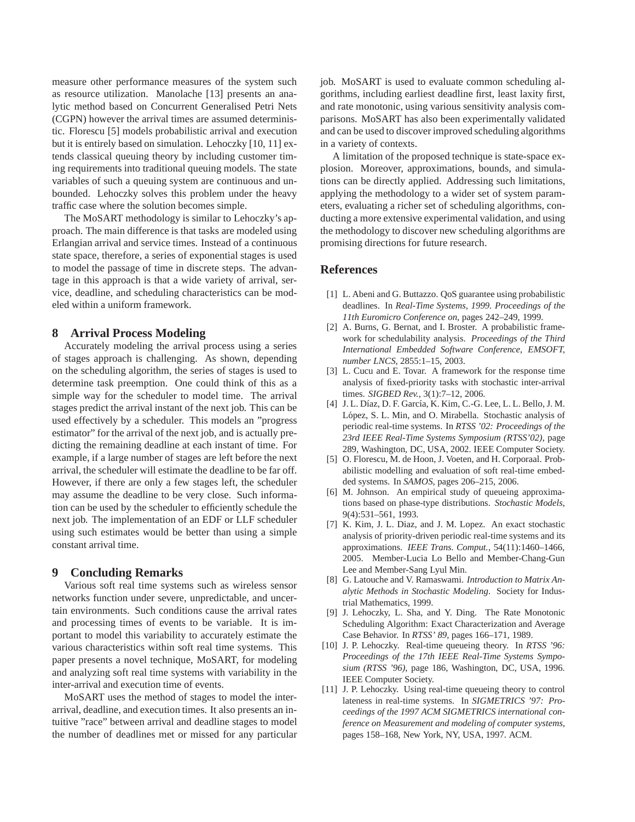measure other performance measures of the system such as resource utilization. Manolache [13] presents an analytic method based on Concurrent Generalised Petri Nets (CGPN) however the arrival times are assumed deterministic. Florescu [5] models probabilistic arrival and execution but it is entirely based on simulation. Lehoczky [10, 11] extends classical queuing theory by including customer timing requirements into traditional queuing models. The state variables of such a queuing system are continuous and unbounded. Lehoczky solves this problem under the heavy traffic case where the solution becomes simple.

The MoSART methodology is similar to Lehoczky's approach. The main difference is that tasks are modeled using Erlangian arrival and service times. Instead of a continuous state space, therefore, a series of exponential stages is used to model the passage of time in discrete steps. The advantage in this approach is that a wide variety of arrival, service, deadline, and scheduling characteristics can be modeled within a uniform framework.

## **8 Arrival Process Modeling**

Accurately modeling the arrival process using a series of stages approach is challenging. As shown, depending on the scheduling algorithm, the series of stages is used to determine task preemption. One could think of this as a simple way for the scheduler to model time. The arrival stages predict the arrival instant of the next job. This can be used effectively by a scheduler. This models an "progress estimator" for the arrival of the next job, and is actually predicting the remaining deadline at each instant of time. For example, if a large number of stages are left before the next arrival, the scheduler will estimate the deadline to be far off. However, if there are only a few stages left, the scheduler may assume the deadline to be very close. Such information can be used by the scheduler to efficiently schedule the next job. The implementation of an EDF or LLF scheduler using such estimates would be better than using a simple constant arrival time.

## **9 Concluding Remarks**

Various soft real time systems such as wireless sensor networks function under severe, unpredictable, and uncertain environments. Such conditions cause the arrival rates and processing times of events to be variable. It is important to model this variability to accurately estimate the various characteristics within soft real time systems. This paper presents a novel technique, MoSART, for modeling and analyzing soft real time systems with variability in the inter-arrival and execution time of events.

MoSART uses the method of stages to model the interarrival, deadline, and execution times. It also presents an intuitive "race" between arrival and deadline stages to model the number of deadlines met or missed for any particular job. MoSART is used to evaluate common scheduling algorithms, including earliest deadline first, least laxity first, and rate monotonic, using various sensitivity analysis comparisons. MoSART has also been experimentally validated and can be used to discover improved scheduling algorithms in a variety of contexts.

A limitation of the proposed technique is state-space explosion. Moreover, approximations, bounds, and simulations can be directly applied. Addressing such limitations, applying the methodology to a wider set of system parameters, evaluating a richer set of scheduling algorithms, conducting a more extensive experimental validation, and using the methodology to discover new scheduling algorithms are promising directions for future research.

## **References**

- [1] L. Abeni and G. Buttazzo. QoS guarantee using probabilistic deadlines. In *Real-Time Systems, 1999. Proceedings of the 11th Euromicro Conference on*, pages 242–249, 1999.
- [2] A. Burns, G. Bernat, and I. Broster. A probabilistic framework for schedulability analysis. *Proceedings of the Third International Embedded Software Conference, EMSOFT, number LNCS*, 2855:1–15, 2003.
- [3] L. Cucu and E. Tovar. A framework for the response time analysis of fixed-priority tasks with stochastic inter-arrival times. *SIGBED Rev.*, 3(1):7–12, 2006.
- [4] J. L. Díaz, D. F. García, K. Kim, C.-G. Lee, L. L. Bello, J. M. López, S. L. Min, and O. Mirabella. Stochastic analysis of periodic real-time systems. In *RTSS '02: Proceedings of the 23rd IEEE Real-Time Systems Symposium (RTSS'02)*, page 289, Washington, DC, USA, 2002. IEEE Computer Society.
- [5] O. Florescu, M. de Hoon, J. Voeten, and H. Corporaal. Probabilistic modelling and evaluation of soft real-time embedded systems. In *SAMOS*, pages 206–215, 2006.
- [6] M. Johnson. An empirical study of queueing approximations based on phase-type distributions. *Stochastic Models*, 9(4):531–561, 1993.
- [7] K. Kim, J. L. Diaz, and J. M. Lopez. An exact stochastic analysis of priority-driven periodic real-time systems and its approximations. *IEEE Trans. Comput.*, 54(11):1460–1466, 2005. Member-Lucia Lo Bello and Member-Chang-Gun Lee and Member-Sang Lyul Min.
- [8] G. Latouche and V. Ramaswami. *Introduction to Matrix Analytic Methods in Stochastic Modeling*. Society for Industrial Mathematics, 1999.
- [9] J. Lehoczky, L. Sha, and Y. Ding. The Rate Monotonic Scheduling Algorithm: Exact Characterization and Average Case Behavior. In *RTSS' 89*, pages 166–171, 1989.
- [10] J. P. Lehoczky. Real-time queueing theory. In *RTSS '96: Proceedings of the 17th IEEE Real-Time Systems Symposium (RTSS '96)*, page 186, Washington, DC, USA, 1996. IEEE Computer Society.
- [11] J. P. Lehoczky. Using real-time queueing theory to control lateness in real-time systems. In *SIGMETRICS '97: Proceedings of the 1997 ACM SIGMETRICS international conference on Measurement and modeling of computer systems*, pages 158–168, New York, NY, USA, 1997. ACM.